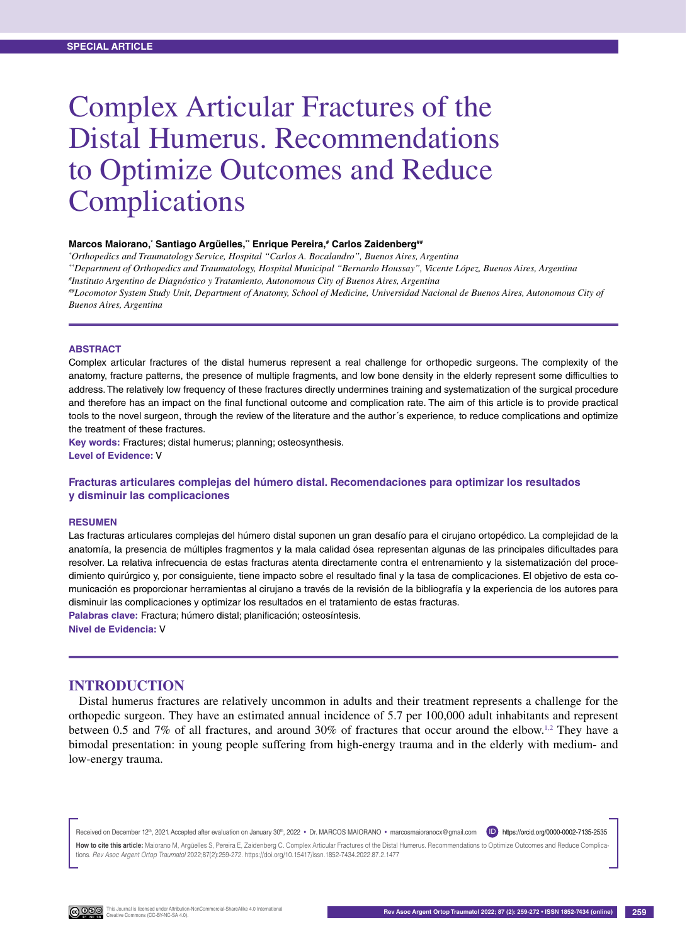# Complex Articular Fractures of the Distal Humerus. Recommendations to Optimize Outcomes and Reduce Complications

#### **Marcos Maiorano,\* Santiago Argüelles,\*\* Enrique Pereira,# Carlos Zaidenberg##**

*\* Orthopedics and Traumatology Service, Hospital "Carlos A. Bocalandro", Buenos Aires, Argentina \*\*Department of Orthopedics and Traumatology, Hospital Municipal "Bernardo Houssay", Vicente López, Buenos Aires, Argentina # Instituto Argentino de Diagnóstico y Tratamiento, Autonomous City of Buenos Aires, Argentina ##Locomotor System Study Unit, Department of Anatomy, School of Medicine, Universidad Nacional de Buenos Aires, Autonomous City of Buenos Aires, Argentina*

#### **Abstract**

Complex articular fractures of the distal humerus represent a real challenge for orthopedic surgeons. The complexity of the anatomy, fracture patterns, the presence of multiple fragments, and low bone density in the elderly represent some difficulties to address. The relatively low frequency of these fractures directly undermines training and systematization of the surgical procedure and therefore has an impact on the final functional outcome and complication rate. The aim of this article is to provide practical tools to the novel surgeon, through the review of the literature and the author´s experience, to reduce complications and optimize the treatment of these fractures.

**Key words:** Fractures; distal humerus; planning; osteosynthesis. **Level of Evidence:** V

#### **Fracturas articulares complejas del húmero distal. Recomendaciones para optimizar los resultados y disminuir las complicaciones**

#### **Resumen**

Las fracturas articulares complejas del húmero distal suponen un gran desafío para el cirujano ortopédico. La complejidad de la anatomía, la presencia de múltiples fragmentos y la mala calidad ósea representan algunas de las principales dificultades para resolver. La relativa infrecuencia de estas fracturas atenta directamente contra el entrenamiento y la sistematización del procedimiento quirúrgico y, por consiguiente, tiene impacto sobre el resultado final y la tasa de complicaciones. El objetivo de esta comunicación es proporcionar herramientas al cirujano a través de la revisión de la bibliografía y la experiencia de los autores para disminuir las complicaciones y optimizar los resultados en el tratamiento de estas fracturas. **Palabras clave:** Fractura; húmero distal; planificación; osteosíntesis.

**Nivel de Evidencia:** V

#### **INTRODUCTION**

Distal humerus fractures are relatively uncommon in adults and their treatment represents a challenge for the orthopedic surgeon. They have an estimated annual incidence of 5.7 per 100,000 adult inhabitants and represent between 0.5 and 7% of all fractures, and around 30% of fractures that occur around the elbow.1,2 They have a bimodal presentation: in young people suffering from high-energy trauma and in the elderly with medium- and low-energy trauma.

Received on December 12<sup>th</sup>, 2021. Accepted after evaluation on January 30<sup>th</sup>, 2022 • Dr. MARCOS MAIORANO • marcosmaioranocx@gmail.com **D** https://orcid.org/0000-0002-7135-2535 **How to cite this article:** Maiorano M, Argüelles S, Pereira E, Zaidenberg C. Complex Articular Fractures of the Distal Humerus. Recommendations to Optimize Outcomes and Reduce Complications. *Rev Asoc Argent Ortop Traumatol* 2022;87(2):259-272. https://doi.org/10.15417/issn.1852-7434.2022.87.2.1477

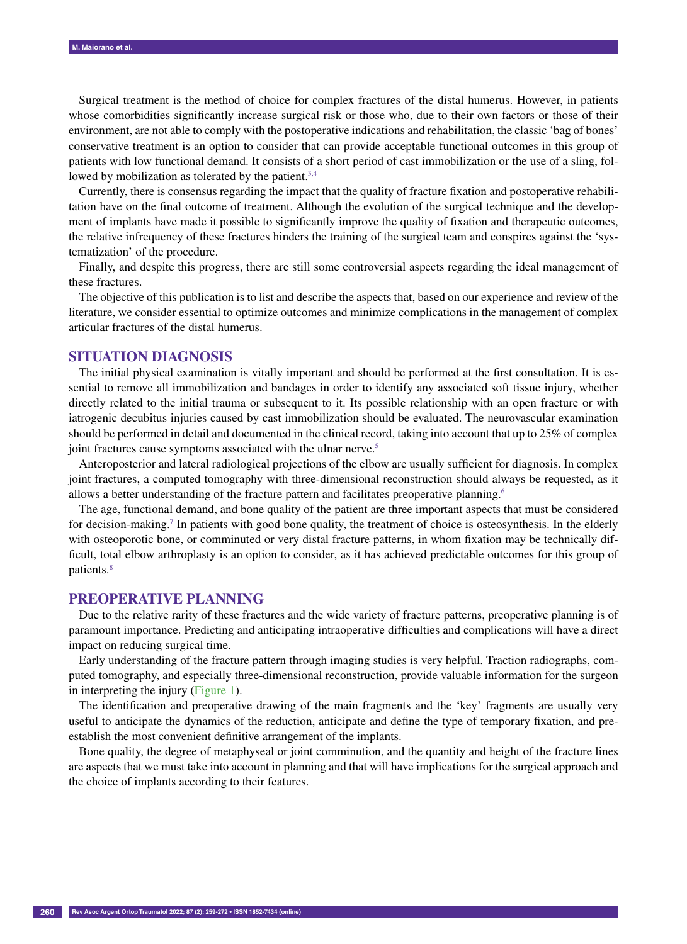Surgical treatment is the method of choice for complex fractures of the distal humerus. However, in patients whose comorbidities significantly increase surgical risk or those who, due to their own factors or those of their environment, are not able to comply with the postoperative indications and rehabilitation, the classic 'bag of bones' conservative treatment is an option to consider that can provide acceptable functional outcomes in this group of patients with low functional demand. It consists of a short period of cast immobilization or the use of a sling, followed by mobilization as tolerated by the patient.<sup>3,4</sup>

Currently, there is consensus regarding the impact that the quality of fracture fixation and postoperative rehabilitation have on the final outcome of treatment. Although the evolution of the surgical technique and the development of implants have made it possible to significantly improve the quality of fixation and therapeutic outcomes, the relative infrequency of these fractures hinders the training of the surgical team and conspires against the 'systematization' of the procedure.

Finally, and despite this progress, there are still some controversial aspects regarding the ideal management of these fractures.

The objective of this publication is to list and describe the aspects that, based on our experience and review of the literature, we consider essential to optimize outcomes and minimize complications in the management of complex articular fractures of the distal humerus.

## **SITUATION DIAGNOSIS**

The initial physical examination is vitally important and should be performed at the first consultation. It is essential to remove all immobilization and bandages in order to identify any associated soft tissue injury, whether directly related to the initial trauma or subsequent to it. Its possible relationship with an open fracture or with iatrogenic decubitus injuries caused by cast immobilization should be evaluated. The neurovascular examination should be performed in detail and documented in the clinical record, taking into account that up to 25% of complex joint fractures cause symptoms associated with the ulnar nerve.<sup>5</sup>

Anteroposterior and lateral radiological projections of the elbow are usually sufficient for diagnosis. In complex joint fractures, a computed tomography with three-dimensional reconstruction should always be requested, as it allows a better understanding of the fracture pattern and facilitates preoperative planning.<sup>6</sup>

The age, functional demand, and bone quality of the patient are three important aspects that must be considered for decision-making.<sup>7</sup> In patients with good bone quality, the treatment of choice is osteosynthesis. In the elderly with osteoporotic bone, or comminuted or very distal fracture patterns, in whom fixation may be technically difficult, total elbow arthroplasty is an option to consider, as it has achieved predictable outcomes for this group of patients.8

#### **PREOPERATIVE PLANNING**

Due to the relative rarity of these fractures and the wide variety of fracture patterns, preoperative planning is of paramount importance. Predicting and anticipating intraoperative difficulties and complications will have a direct impact on reducing surgical time.

Early understanding of the fracture pattern through imaging studies is very helpful. Traction radiographs, computed tomography, and especially three-dimensional reconstruction, provide valuable information for the surgeon in interpreting the injury (Figure 1).

The identification and preoperative drawing of the main fragments and the 'key' fragments are usually very useful to anticipate the dynamics of the reduction, anticipate and define the type of temporary fixation, and preestablish the most convenient definitive arrangement of the implants.

Bone quality, the degree of metaphyseal or joint comminution, and the quantity and height of the fracture lines are aspects that we must take into account in planning and that will have implications for the surgical approach and the choice of implants according to their features.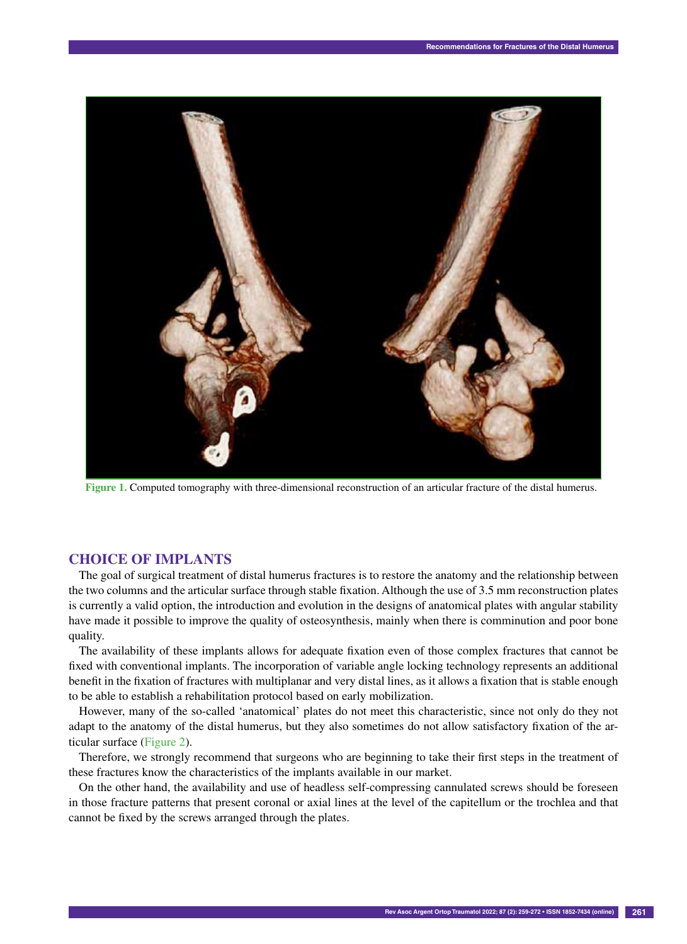

**Figure 1.** Computed tomography with three-dimensional reconstruction of an articular fracture of the distal humerus.

# **CHOICE OF IMPLANTS**

The goal of surgical treatment of distal humerus fractures is to restore the anatomy and the relationship between the two columns and the articular surface through stable fixation. Although the use of 3.5 mm reconstruction plates is currently a valid option, the introduction and evolution in the designs of anatomical plates with angular stability have made it possible to improve the quality of osteosynthesis, mainly when there is comminution and poor bone quality.

The availability of these implants allows for adequate fixation even of those complex fractures that cannot be fixed with conventional implants. The incorporation of variable angle locking technology represents an additional benefit in the fixation of fractures with multiplanar and very distal lines, as it allows a fixation that is stable enough to be able to establish a rehabilitation protocol based on early mobilization.

However, many of the so-called 'anatomical' plates do not meet this characteristic, since not only do they not adapt to the anatomy of the distal humerus, but they also sometimes do not allow satisfactory fixation of the articular surface (Figure 2).

Therefore, we strongly recommend that surgeons who are beginning to take their first steps in the treatment of these fractures know the characteristics of the implants available in our market.

On the other hand, the availability and use of headless self-compressing cannulated screws should be foreseen in those fracture patterns that present coronal or axial lines at the level of the capitellum or the trochlea and that cannot be fixed by the screws arranged through the plates.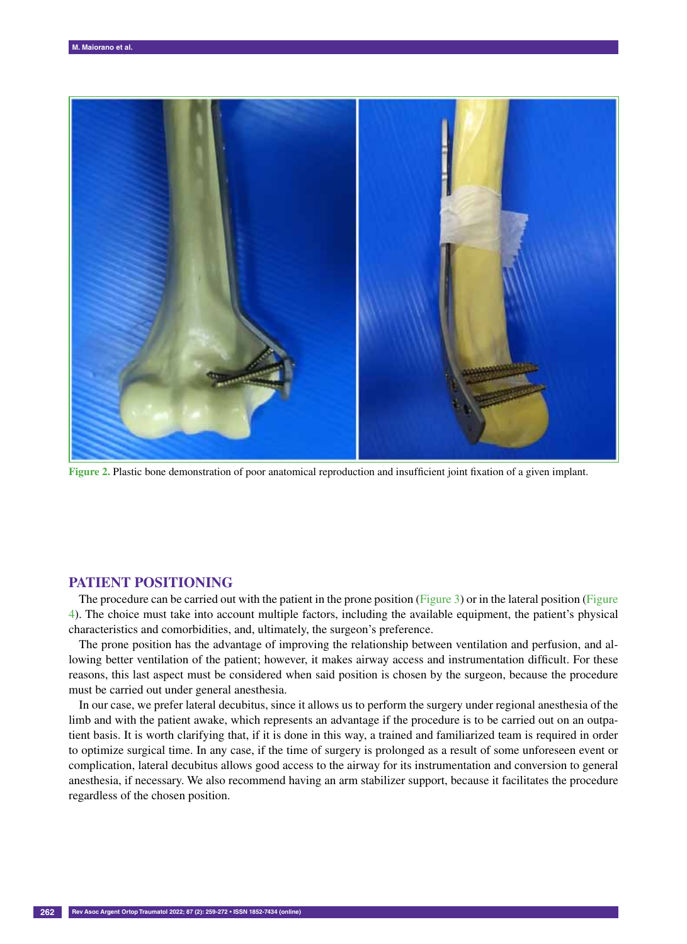

**Figure 2.** Plastic bone demonstration of poor anatomical reproduction and insufficient joint fixation of a given implant.

#### **PATIENT POSITIONING**

The procedure can be carried out with the patient in the prone position (Figure 3) or in the lateral position (Figure 4). The choice must take into account multiple factors, including the available equipment, the patient's physical characteristics and comorbidities, and, ultimately, the surgeon's preference.

The prone position has the advantage of improving the relationship between ventilation and perfusion, and allowing better ventilation of the patient; however, it makes airway access and instrumentation difficult. For these reasons, this last aspect must be considered when said position is chosen by the surgeon, because the procedure must be carried out under general anesthesia.

In our case, we prefer lateral decubitus, since it allows us to perform the surgery under regional anesthesia of the limb and with the patient awake, which represents an advantage if the procedure is to be carried out on an outpatient basis. It is worth clarifying that, if it is done in this way, a trained and familiarized team is required in order to optimize surgical time. In any case, if the time of surgery is prolonged as a result of some unforeseen event or complication, lateral decubitus allows good access to the airway for its instrumentation and conversion to general anesthesia, if necessary. We also recommend having an arm stabilizer support, because it facilitates the procedure regardless of the chosen position.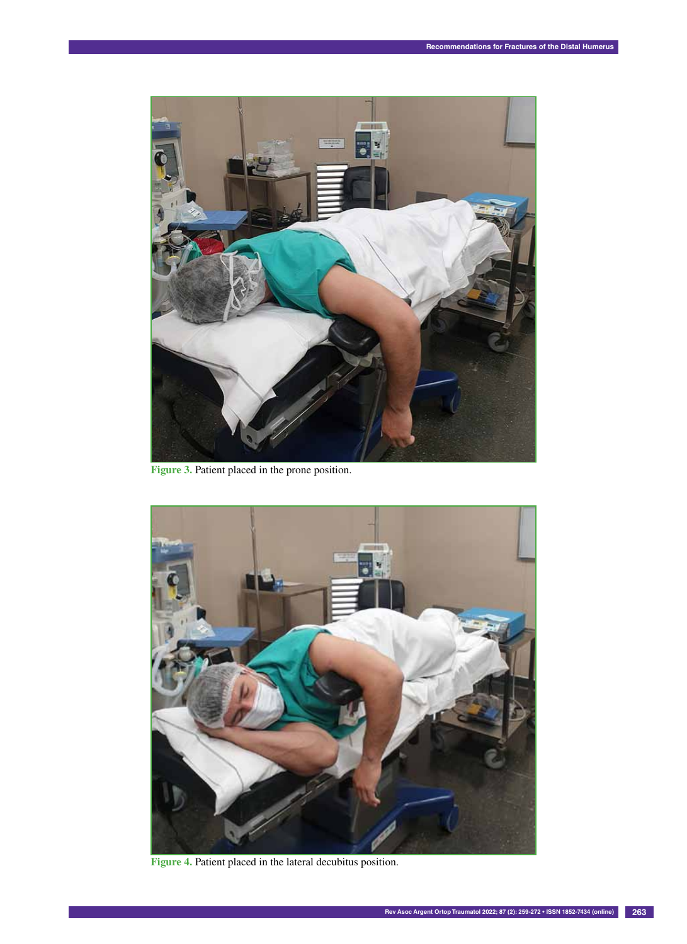

**Figure 3.** Patient placed in the prone position.



**Figure 4.** Patient placed in the lateral decubitus position.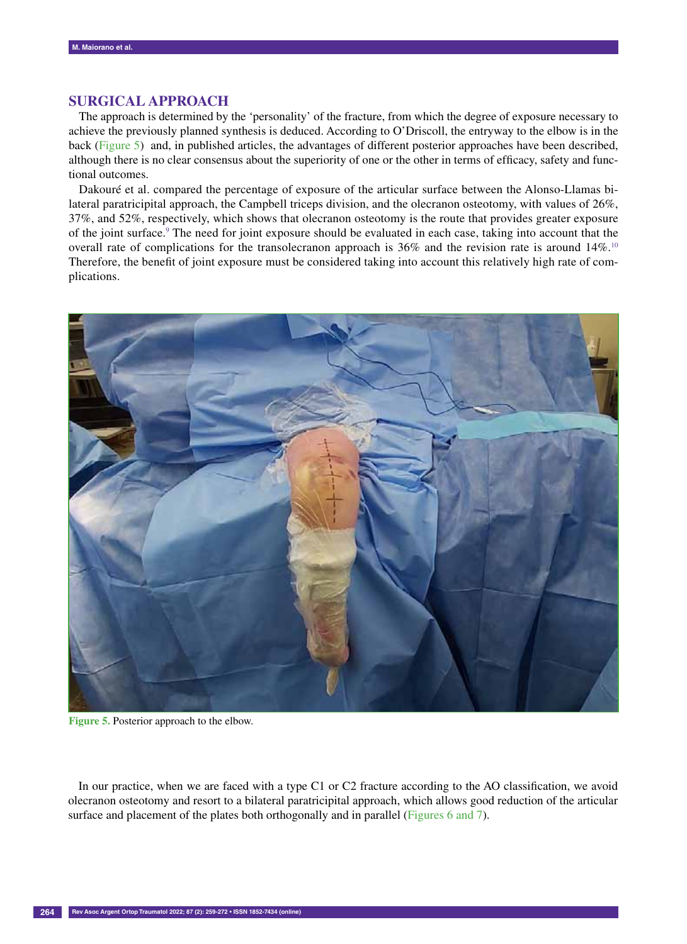# **SURGICAL APPROACH**

The approach is determined by the 'personality' of the fracture, from which the degree of exposure necessary to achieve the previously planned synthesis is deduced. According to O'Driscoll, the entryway to the elbow is in the back (Figure 5) and, in published articles, the advantages of different posterior approaches have been described, although there is no clear consensus about the superiority of one or the other in terms of efficacy, safety and functional outcomes.

Dakouré et al. compared the percentage of exposure of the articular surface between the Alonso-Llamas bilateral paratricipital approach, the Campbell triceps division, and the olecranon osteotomy, with values of 26%, 37%, and 52%, respectively, which shows that olecranon osteotomy is the route that provides greater exposure of the joint surface.<sup>9</sup> The need for joint exposure should be evaluated in each case, taking into account that the overall rate of complications for the transolecranon approach is 36% and the revision rate is around 14%.<sup>10</sup> Therefore, the benefit of joint exposure must be considered taking into account this relatively high rate of complications.



**Figure 5.** Posterior approach to the elbow.

In our practice, when we are faced with a type C1 or C2 fracture according to the AO classification, we avoid olecranon osteotomy and resort to a bilateral paratricipital approach, which allows good reduction of the articular surface and placement of the plates both orthogonally and in parallel (Figures 6 and 7).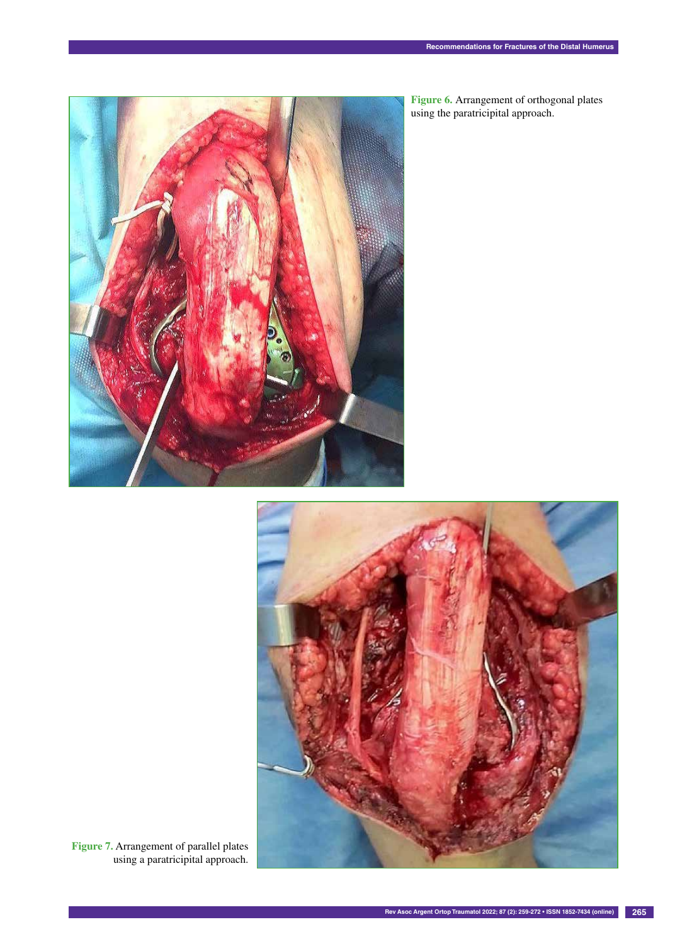

**Figure 6.** Arrangement of orthogonal plates using the paratricipital approach.



**Figure 7.** Arrangement of parallel plates using a paratricipital approach.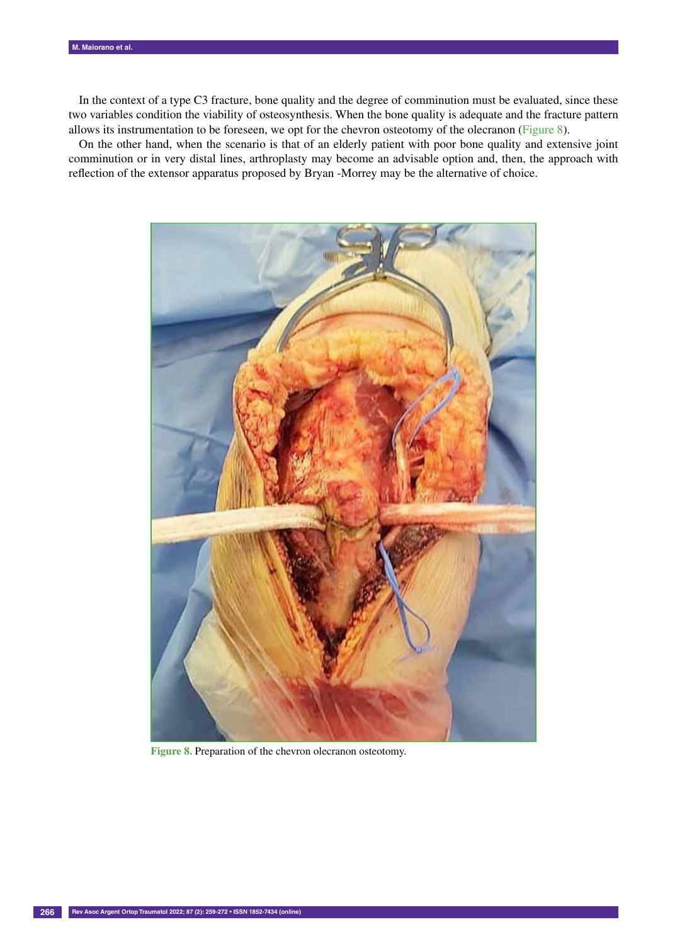In the context of a type C3 fracture, bone quality and the degree of comminution must be evaluated, since these two variables condition the viability of osteosynthesis. When the bone quality is adequate and the fracture pattern allows its instrumentation to be foreseen, we opt for the chevron osteotomy of the olecranon (Figure 8).

On the other hand, when the scenario is that of an elderly patient with poor bone quality and extensive joint comminution or in very distal lines, arthroplasty may become an advisable option and, then, the approach with reflection of the extensor apparatus proposed by Bryan -Morrey may be the alternative of choice.



**Figure 8.** Preparation of the chevron olecranon osteotomy.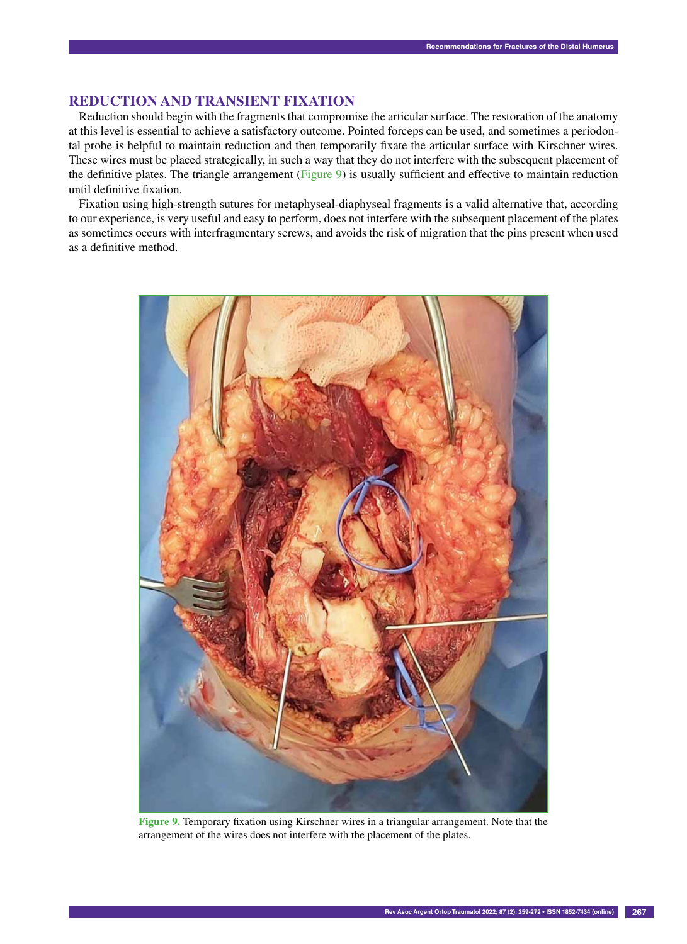# **REDUCTION AND TRANSIENT FIXATION**

Reduction should begin with the fragments that compromise the articular surface. The restoration of the anatomy at this level is essential to achieve a satisfactory outcome. Pointed forceps can be used, and sometimes a periodontal probe is helpful to maintain reduction and then temporarily fixate the articular surface with Kirschner wires. These wires must be placed strategically, in such a way that they do not interfere with the subsequent placement of the definitive plates. The triangle arrangement (Figure 9) is usually sufficient and effective to maintain reduction until definitive fixation.

Fixation using high-strength sutures for metaphyseal-diaphyseal fragments is a valid alternative that, according to our experience, is very useful and easy to perform, does not interfere with the subsequent placement of the plates as sometimes occurs with interfragmentary screws, and avoids the risk of migration that the pins present when used as a definitive method.



**Figure 9.** Temporary fixation using Kirschner wires in a triangular arrangement. Note that the arrangement of the wires does not interfere with the placement of the plates.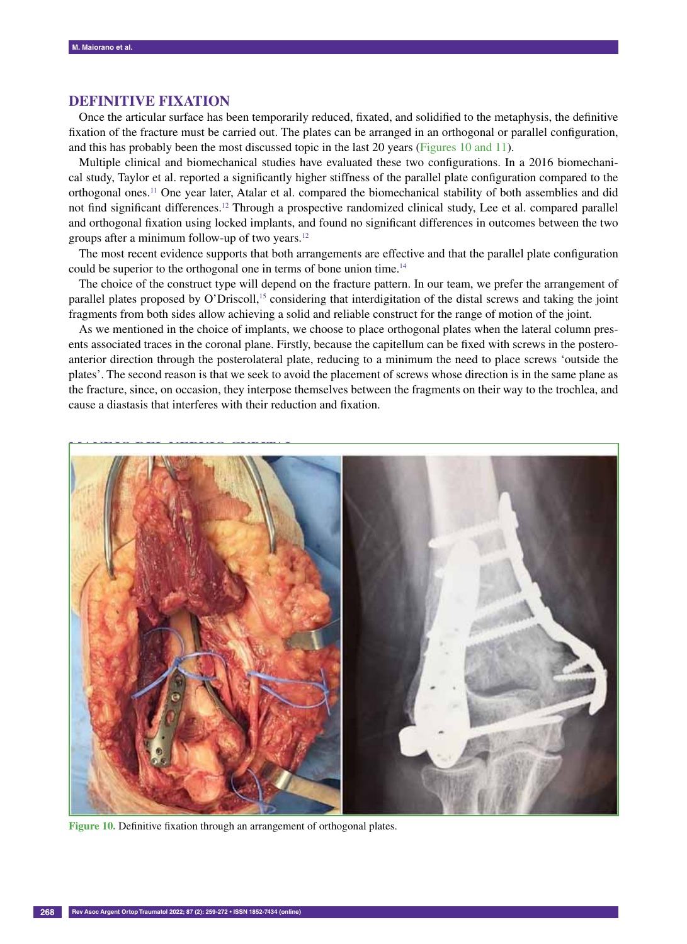# **DEFINITIVE FIXATION**

Once the articular surface has been temporarily reduced, fixated, and solidified to the metaphysis, the definitive fixation of the fracture must be carried out. The plates can be arranged in an orthogonal or parallel configuration, and this has probably been the most discussed topic in the last 20 years (Figures 10 and 11).

Multiple clinical and biomechanical studies have evaluated these two configurations. In a 2016 biomechanical study, Taylor et al. reported a significantly higher stiffness of the parallel plate configuration compared to the orthogonal ones.11 One year later, Atalar et al. compared the biomechanical stability of both assemblies and did not find significant differences.<sup>12</sup> Through a prospective randomized clinical study, Lee et al. compared parallel and orthogonal fixation using locked implants, and found no significant differences in outcomes between the two groups after a minimum follow-up of two years.12

The most recent evidence supports that both arrangements are effective and that the parallel plate configuration could be superior to the orthogonal one in terms of bone union time.<sup>14</sup>

The choice of the construct type will depend on the fracture pattern. In our team, we prefer the arrangement of parallel plates proposed by O'Driscoll,15 considering that interdigitation of the distal screws and taking the joint fragments from both sides allow achieving a solid and reliable construct for the range of motion of the joint.

As we mentioned in the choice of implants, we choose to place orthogonal plates when the lateral column presents associated traces in the coronal plane. Firstly, because the capitellum can be fixed with screws in the posteroanterior direction through the posterolateral plate, reducing to a minimum the need to place screws 'outside the plates'. The second reason is that we seek to avoid the placement of screws whose direction is in the same plane as the fracture, since, on occasion, they interpose themselves between the fragments on their way to the trochlea, and cause a diastasis that interferes with their reduction and fixation.



**Figure 10.** Definitive fixation through an arrangement of orthogonal plates.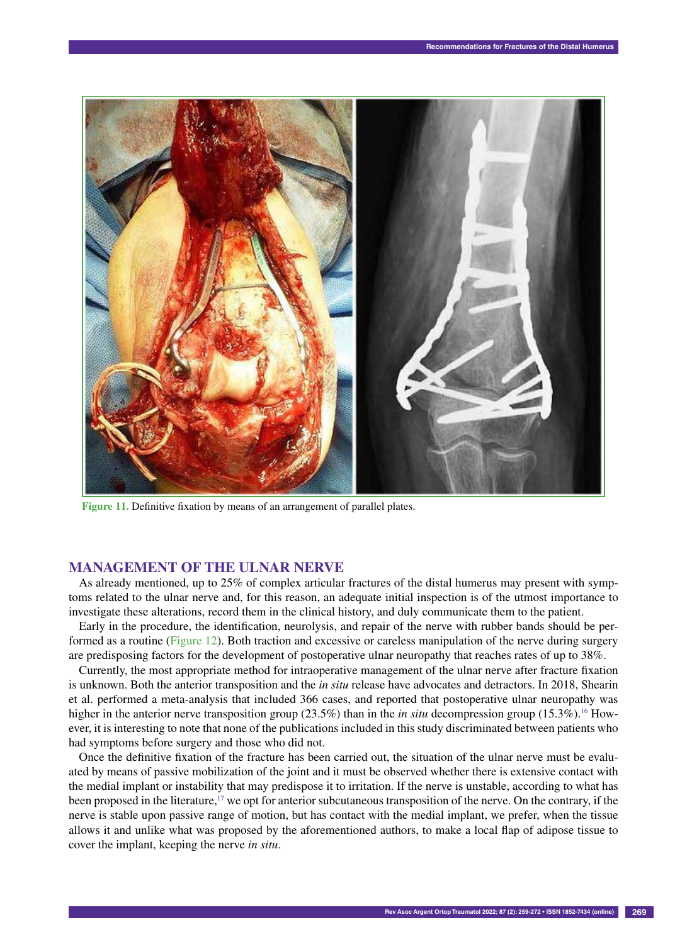

**Figure 11.** Definitive fixation by means of an arrangement of parallel plates.

# **MANAGEMENT OF THE ULNAR NERVE**

As already mentioned, up to 25% of complex articular fractures of the distal humerus may present with symptoms related to the ulnar nerve and, for this reason, an adequate initial inspection is of the utmost importance to investigate these alterations, record them in the clinical history, and duly communicate them to the patient.

Early in the procedure, the identification, neurolysis, and repair of the nerve with rubber bands should be performed as a routine (Figure 12). Both traction and excessive or careless manipulation of the nerve during surgery are predisposing factors for the development of postoperative ulnar neuropathy that reaches rates of up to 38%.

Currently, the most appropriate method for intraoperative management of the ulnar nerve after fracture fixation is unknown. Both the anterior transposition and the *in situ* release have advocates and detractors. In 2018, Shearin et al. performed a meta-analysis that included 366 cases, and reported that postoperative ulnar neuropathy was higher in the anterior nerve transposition group (23.5%) than in the *in situ* decompression group (15.3%).<sup>16</sup> However, it is interesting to note that none of the publications included in this study discriminated between patients who had symptoms before surgery and those who did not.

Once the definitive fixation of the fracture has been carried out, the situation of the ulnar nerve must be evaluated by means of passive mobilization of the joint and it must be observed whether there is extensive contact with the medial implant or instability that may predispose it to irritation. If the nerve is unstable, according to what has been proposed in the literature,<sup>17</sup> we opt for anterior subcutaneous transposition of the nerve. On the contrary, if the nerve is stable upon passive range of motion, but has contact with the medial implant, we prefer, when the tissue allows it and unlike what was proposed by the aforementioned authors, to make a local flap of adipose tissue to cover the implant, keeping the nerve *in situ*.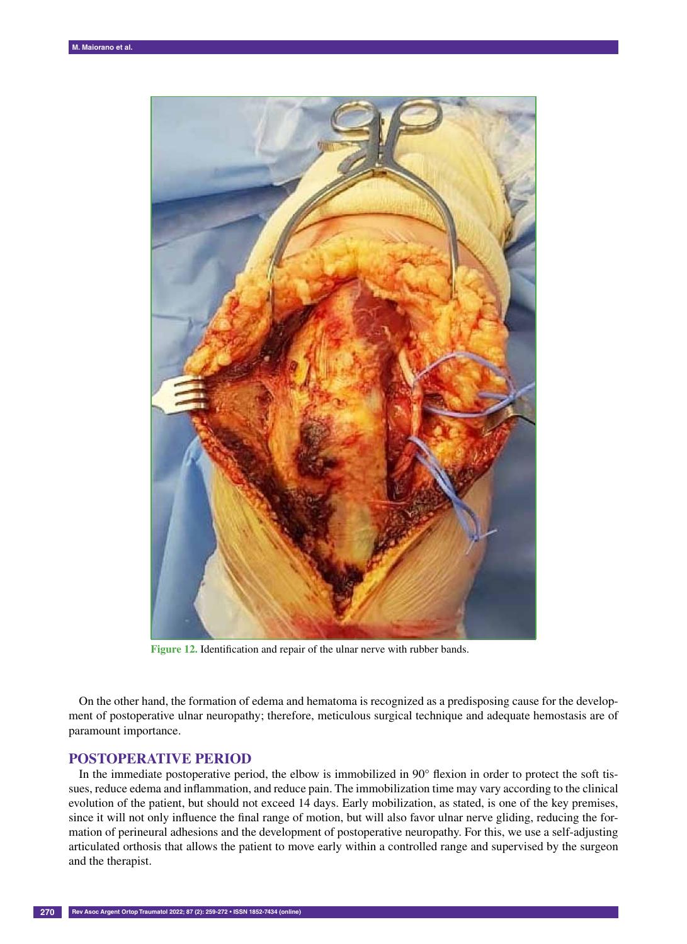

**Figure 12.** Identification and repair of the ulnar nerve with rubber bands.

On the other hand, the formation of edema and hematoma is recognized as a predisposing cause for the development of postoperative ulnar neuropathy; therefore, meticulous surgical technique and adequate hemostasis are of paramount importance.

## **POSTOPERATIVE PERIOD**

In the immediate postoperative period, the elbow is immobilized in 90° flexion in order to protect the soft tissues, reduce edema and inflammation, and reduce pain. The immobilization time may vary according to the clinical evolution of the patient, but should not exceed 14 days. Early mobilization, as stated, is one of the key premises, since it will not only influence the final range of motion, but will also favor ulnar nerve gliding, reducing the formation of perineural adhesions and the development of postoperative neuropathy. For this, we use a self-adjusting articulated orthosis that allows the patient to move early within a controlled range and supervised by the surgeon and the therapist.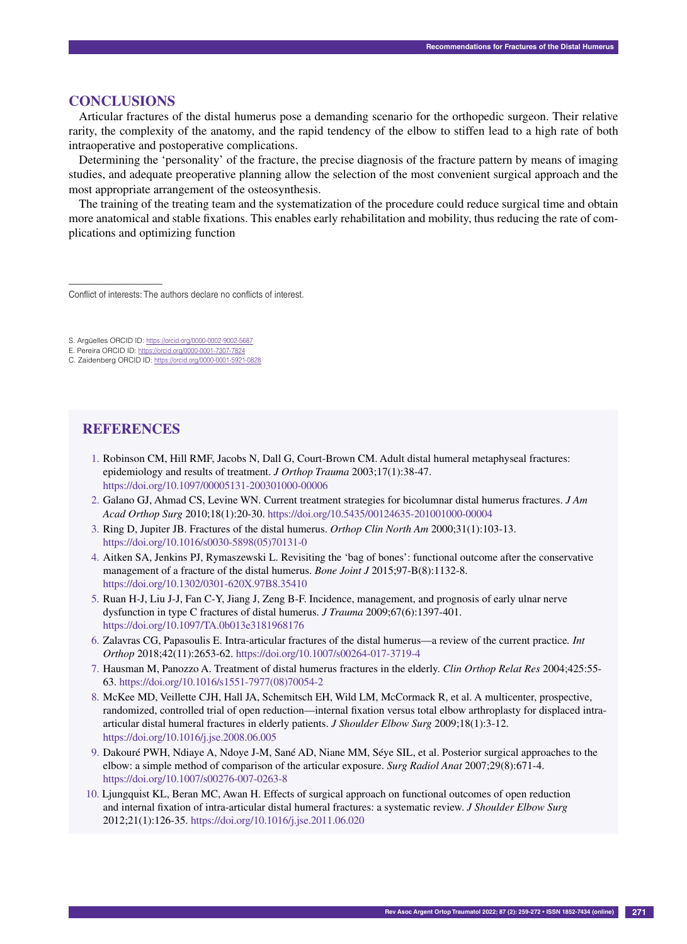# **CONCLUSIONS**

––––––––––––––––––

Articular fractures of the distal humerus pose a demanding scenario for the orthopedic surgeon. Their relative rarity, the complexity of the anatomy, and the rapid tendency of the elbow to stiffen lead to a high rate of both intraoperative and postoperative complications.

Determining the 'personality' of the fracture, the precise diagnosis of the fracture pattern by means of imaging studies, and adequate preoperative planning allow the selection of the most convenient surgical approach and the most appropriate arrangement of the osteosynthesis.

The training of the treating team and the systematization of the procedure could reduce surgical time and obtain more anatomical and stable fixations. This enables early rehabilitation and mobility, thus reducing the rate of complications and optimizing function

Conflict of interests: The authors declare no conflicts of interest.

- S. Argüelles ORCID ID: https://orcid.org/0000-0002-9002-5687
- E. Pereira ORCID ID: https://orcid.org/0000-0001-7307-7824

## **REFERENCES**

- 1. Robinson CM, Hill RMF, Jacobs N, Dall G, Court-Brown CM. Adult distal humeral metaphyseal fractures: epidemiology and results of treatment. *J Orthop Trauma* 2003;17(1):38-47. https://doi.org/10.1097/00005131-200301000-00006
- 2. Galano GJ, Ahmad CS, Levine WN. Current treatment strategies for bicolumnar distal humerus fractures. *J Am Acad Orthop Surg* 2010;18(1):20-30. https://doi.org/10.5435/00124635-201001000-00004
- 3. Ring D, Jupiter JB. Fractures of the distal humerus. *Orthop Clin North Am* 2000;31(1):103-13. https://doi.org/10.1016/s0030-5898(05)70131-0
- 4. Aitken SA, Jenkins PJ, Rymaszewski L. Revisiting the 'bag of bones': functional outcome after the conservative management of a fracture of the distal humerus. *Bone Joint J* 2015;97-B(8):1132-8. https://doi.org/10.1302/0301-620X.97B8.35410
- 5. Ruan H-J, Liu J-J, Fan C-Y, Jiang J, Zeng B-F. Incidence, management, and prognosis of early ulnar nerve dysfunction in type C fractures of distal humerus. *J Trauma* 2009;67(6):1397-401. https://doi.org/10.1097/TA.0b013e3181968176
- 6. Zalavras CG, Papasoulis E. Intra-articular fractures of the distal humerus—a review of the current practice*. Int Orthop* 2018;42(11):2653-62. https://doi.org/10.1007/s00264-017-3719-4
- 7. Hausman M, Panozzo A. Treatment of distal humerus fractures in the elderly. *Clin Orthop Relat Res* 2004;425:55- 63. https://doi.org/10.1016/s1551-7977(08)70054-2
- 8. McKee MD, Veillette CJH, Hall JA, Schemitsch EH, Wild LM, McCormack R, et al. A multicenter, prospective, randomized, controlled trial of open reduction—internal fixation versus total elbow arthroplasty for displaced intraarticular distal humeral fractures in elderly patients. *J Shoulder Elbow Surg* 2009;18(1):3-12. https://doi.org/10.1016/j.jse.2008.06.005
- 9. Dakouré PWH, Ndiaye A, Ndoye J-M, Sané AD, Niane MM, Séye SIL, et al. Posterior surgical approaches to the elbow: a simple method of comparison of the articular exposure. *Surg Radiol Anat* 2007;29(8):671-4. https://doi.org/10.1007/s00276-007-0263-8
- 10. Ljungquist KL, Beran MC, Awan H. Effects of surgical approach on functional outcomes of open reduction and internal fixation of intra-articular distal humeral fractures: a systematic review. *J Shoulder Elbow Surg* 2012;21(1):126-35. https://doi.org/10.1016/j.jse.2011.06.020

C. Zaidenberg ORCID ID: https://orcid.org/0000-0001-5921-0828